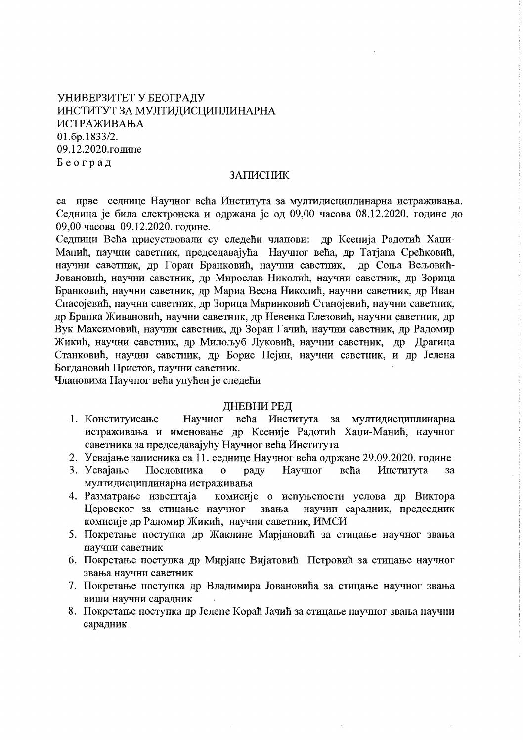# УНИВЕРЗИТЕТ У БЕОГРАДУ ИНСТИТУТ ЗА МУЛТИДИСЦИПЛИНАРНА ИСТРАЖИВАЊА 01.6p.1833/2. 09.12.2020.године Београд

### ЗАПИСНИК

са прве седнице Научног већа Института за мултидисциплинарна истраживања. Седница је била електронска и одржана је од 09,00 часова 08.12.2020. године до 09,00 часова 09.12.2020. године.

Седници Већа присуствовали су следећи чланови: др Ксенија Радотић Хаџи-Манић, научни саветник, председавајућа Научног већа, др Татјана Срећковић, научни саветник, др Горан Бранковић, научни саветник, др Соња Вељовић-Јовановић, научни саветник, др Мирослав Николић, научни саветник, др Зорица Бранковић, научни саветник, др Мариа Весна Николић, научни саветник, др Иван Спасојевић, научни саветник, др Зорица Маринковић Станојевић, научни саветник, др Бранка Живановић, научни саветник, др Невенка Елезовић, научни саветник, др Вук Максимовић, научни саветник, др Зоран Гачић, научни саветник, др Радомир Жикић, научни саветник, др Милољуб Луковић, научни саветник, др Драгица Станковић, научни саветник, др Борис Пејин, научни саветник, и др Јелена Богдановић Пристов, научни саветник.

Члановима Научног већа упућен је следећи

#### ДНЕВНИ РЕД

- 1. Конституисање Научног већа Института за мултидисциплинарна истраживања и именовање др Ксеније Радотић Хаџи-Манић, научног саветника за председавајућу Научног већа Института
- 2. Усвајање записника са 11. седнице Научног већа одржане 29.09.2020. године
- 3. Усвајање Научног Пословника већа Института  $\overline{O}$ раду  $3a$ мултидисциплинарна истраживања
- 4. Разматрање извештаја комисије о испуњености услова др Виктора Церовског за стицање научног звања научни сарадник, председник комисије др Радомир Жикић, научни саветник, ИМСИ
- 5. Покретање поступка др Жаклине Марјановић за стицање научног звања научни саветник
- 6. Покретање поступка др Мирјане Вијатовић Петровић за стицање научног звања научни саветник
- 7. Покретање поступка др Владимира Јовановића за стицање научног звања виши научни сарадник
- 8. Покретање поступка др Јелене Кораћ Јачић за стицање научног звања научни сарадник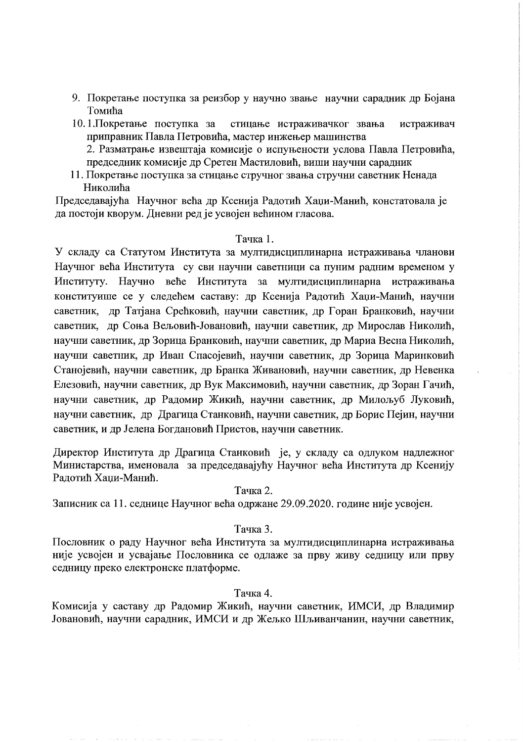- 9. Покретање поступка за реизбор у научно звање научни сарадник др Бојана Томића
- 10.1. Покретање поступка за стицање истраживачког звања истраживач приправник Павла Петровића, мастер инжењер машинства 2. Разматрање извештаја комисије о испуњености услова Павла Петровића,
	- председник комисије др Сретен Мастиловић, виши научни сарадник
- 11. Покретање поступка за стицање стручног звања стручни саветник Ненада Николића

Председавајућа Научног већа др Ксенија Радотић Хаџи-Манић, констатовала је да постоји кворум. Дневни ред је усвојен већином гласова.

#### Тачка 1.

У складу са Статутом Института за мултидисциплинарна истраживања чланови Научног већа Института су сви научни саветници са пуним радним временом у Институту. Научно веће Института за мултидисциплинарна истраживања конституише се у следећем саставу: др Ксенија Радотић Хаџи-Манић, научни саветник, др Татјана Срећковић, научни саветник, др Горан Бранковић, научни саветник, др Соња Вељовић-Јовановић, научни саветник, др Мирослав Николић, научни саветник, др Зорица Бранковић, научни саветник, др Мариа Весна Николић, научни саветник, др Иван Спасојевић, научни саветник, др Зорица Маринковић Станојевић, научни саветник, др Бранка Живановић, научни саветник, др Невенка Елезовић, научни саветник, др Вук Максимовић, научни саветник, др Зоран Гачић, научни саветник, др Радомир Жикић, научни саветник, др Милољуб Луковић, научни саветник, др Драгица Станковић, научни саветник, др Борис Пејин, научни саветник, и др Јелена Богдановић Пристов, научни саветник.

Директор Института др Драгица Станковић је, у складу са одлуком надлежног Министарства, именовала за председавајућу Научног већа Института др Ксенију Радотић Хаци-Манић.

Тачка 2.

Записник са 11. седнице Научног већа одржане 29.09.2020. године није усвојен.

#### Тачка 3.

Пословник о раду Научног већа Института за мултидисциплинарна истраживања није усвојен и усвајање Пословника се одлаже за прву живу седницу или прву седницу преко електронске платформе.

Тачка 4.

Комисија у саставу др Радомир Жикић, научни саветник, ИМСИ, др Владимир Јовановић, научни сарадник, ИМСИ и др Жељко Шљиванчанин, научни саветник,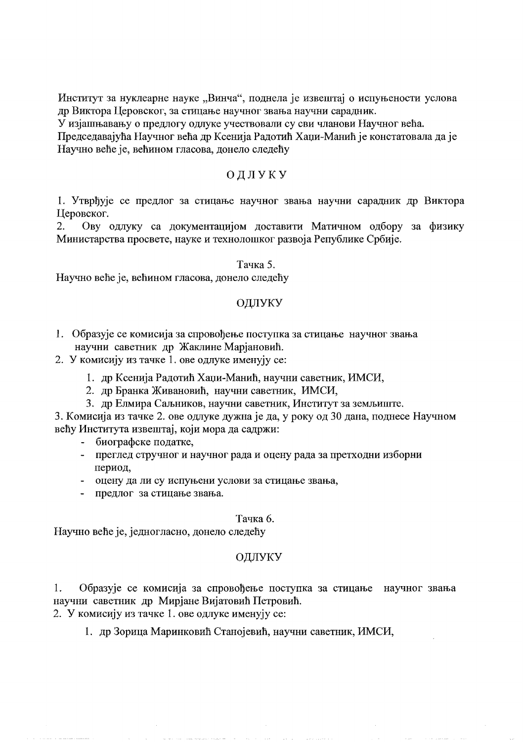Институт за нуклеарне науке "Винча", поднела је извештај о испуњености услова др Виктора Церовског, за стицање научног звања научни сарадник.

У изјашњавању о предлогу одлуке учествовали су сви чланови Научног већа.

Председавајућа Научног већа др Ксенија Радотић Хаџи-Манић је констатовала да је Научно веће је, већином гласова, донело следећу

# ОДЛУКУ

1. Утврђује се предлог за стицање научног звања научни сарадник др Виктора Церовског.

Ову одлуку са документацијом доставити Матичном одбору за физику  $2.$ Министарства просвете, науке и технолошког развоја Републике Србије.

#### Тачка 5.

Научно веће је, већином гласова, донело следећу

#### ОДЛУКУ

- 1. Образује се комисија за спровођење поступка за стицање научног звања научни саветник др Жаклине Марјановић.
- 2. У комисију из тачке 1. ове одлуке именују се:
	- 1. др Ксенија Радотић Хаџи-Манић, научни саветник, ИМСИ,
	- 2. др Бранка Живановић, научни саветник, ИМСИ,
	- 3. др Елмира Саљников, научни саветник, Институт за земљиште.

3. Комисија из тачке 2. ове одлуке дужна је да, у року од 30 дана, поднесе Научном већу Института извештај, који мора да садржи:

- биографске податке,
- преглед стручног и научног рада и оцену рада за претходни изборни период.
- оцену да ли су испуњени услови за стицање звања,
- предлог за стицање звања.

#### Тачка 6.

Научно веће је, једногласно, донело следећу

# ОДЛУКУ

Образује се комисија за спровођење поступка за стицање научног звања 1. научни саветник др Мирјане Вијатовић Петровић.

2. У комисију из тачке 1. ове одлуке именују се:

1. др Зорица Маринковић Станојевић, научни саветник, ИМСИ,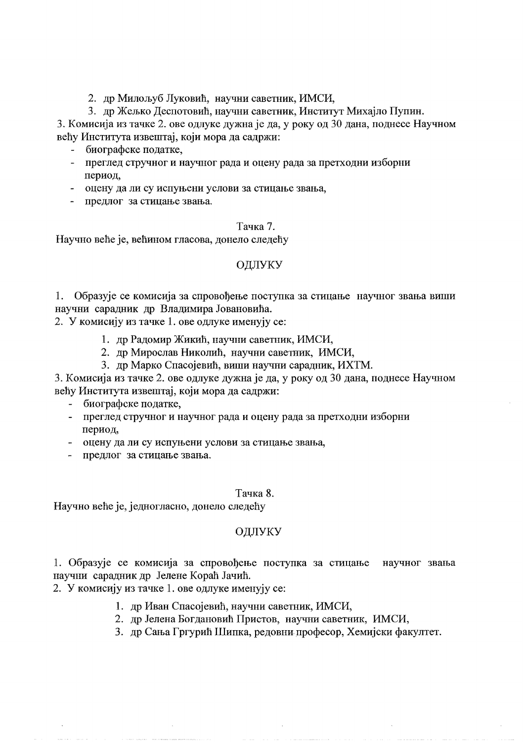2. др Милољуб Луковић, научни саветник, ИМСИ,

3. др Жељко Деспотовић, научни саветник, Институт Михајло Пупин.

3. Комисија из тачке 2. ове одлуке дужна је да, у року од 30 дана, поднесе Научном већу Института извештај, који мора да садржи:

- биографске податке,
- преглед стручног и научног рада и оцену рада за претходни изборни период,
- оцену да ли су испуњени услови за стицање звања,
- предлог за стицање звања.

#### Тачка 7.

Научно веће је, већином гласова, донело следећу

## ОДЛУКУ

1. Образује се комисија за спровођење поступка за стицање научног звања виши научни сарадник др Владимира Јовановића.

2. У комисију из тачке 1. ове одлуке именују се:

- 1. др Радомир Жикић, научни саветник, ИМСИ,
- 2. др Мирослав Николић, научни саветник, ИМСИ,
- 3. др Марко Спасојевић, виши научни сарадник, ИХТМ.

3. Комисија из тачке 2. ове одлуке дужна је да, у року од 30 дана, поднесе Научном већу Института извештај, који мора да садржи:

- биографске податке,
- преглед стручног и научног рада и оцену рада за претходни изборни период.
- оцену да ли су испуњени услови за стицање звања,
- предлог за стицање звања.

#### Тачка 8.

Научно веће је, једногласно, донело следећу

# ОДЛУКУ

1. Образује се комисија за спровођење поступка за стицање научног звања научни сарадник др Јелене Кораћ Јачић.

2. У комисију из тачке 1. ове одлуке именују се:

- 1. др Иван Спасојевић, научни саветник, ИМСИ,
- 2. др Јелена Богдановић Пристов, научни саветник, ИМСИ,
- 3. др Сања Гргурић Шипка, редовни професор, Хемијски факултет.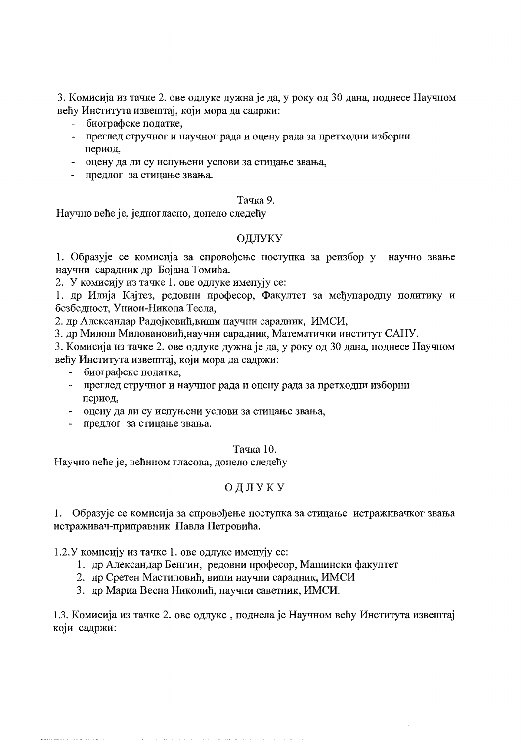3. Комисија из тачке 2. ове одлуке дужна је да, у року од 30 дана, поднесе Научном већу Института извештај, који мора да садржи:

- биографске податке,
- преглед стручног и научног рада и оцену рада за претходни изборни период.
- оцену да ли су испуњени услови за стицање звања,
- предлог за стицање звања.

## Тачка 9.

Научно веће је, једногласно, донело следећу

# ОДЛУКУ

1. Образује се комисија за спровођење поступка за реизбор у научно звање научни сарадник др Бојана Томића.

2. У комисију из тачке 1. ове одлуке именују се:

1. др Илија Кајтез, редовни професор, Факултет за међународну политику и безбедност, Унион-Никола Тесла,

2. др Александар Радојковић, виши научни сарадник, ИМСИ,

3. др Милош Миловановић, научни сарадник, Математички институт САНУ.

3. Комисија из тачке 2. ове одлуке дужна је да, у року од 30 дана, поднесе Научном већу Института извештај, који мора да садржи:

- биографске податке,  $\frac{1}{2}$
- преглед стручног и научног рада и оцену рада за претходни изборни период,
- оцену да ли су испуњени услови за стицање звања,
- предлог за стицање звања.

# Тачка 10.

Научно веће је, већином гласова, донело следећу

# ОДЛУКУ

1. Образује се комисија за спровођење поступка за стицање истраживачког звања истраживач-приправник Павла Петровића.

1.2. У комисију из тачке 1. ове одлуке именују се:

- 1. др Александар Бенгин, редовни професор, Машински факултет
- 2. др Сретен Мастиловић, виши научни сарадник, ИМСИ
- 3. др Мариа Весна Николић, научни саветник, ИМСИ.

1.3. Комисија из тачке 2. ове одлуке, поднела је Научном већу Института извештај који садржи: